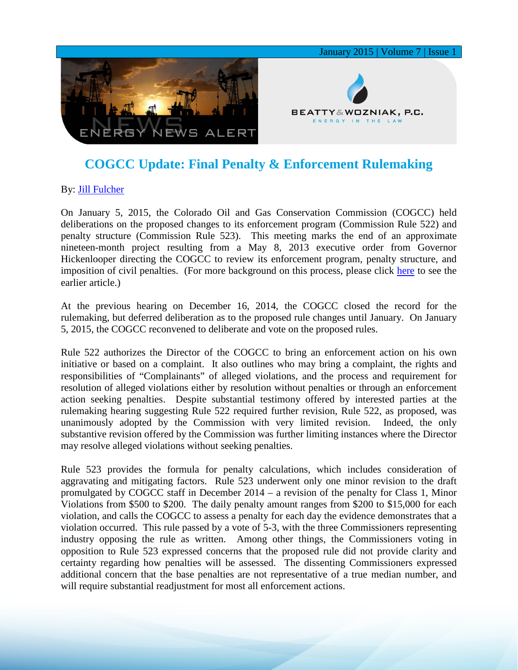

## **COGCC Update: Final Penalty & Enforcement Rulemaking**

## By: **[Jill Fulcher](http://www.bwenergylaw.com/#!jill-fulcher/cf4t)**

On January 5, 2015, the Colorado Oil and Gas Conservation Commission (COGCC) held deliberations on the proposed changes to its enforcement program (Commission Rule 522) and penalty structure (Commission Rule 523). This meeting marks the end of an approximate nineteen-month project resulting from a May 8, 2013 executive order from Governor Hickenlooper directing the COGCC to review its enforcement program, penalty structure, and imposition of civil penalties. (For more background on this process, please click [here](http://media.wix.com/ugd/2f2374_60fc9fb99d3b4cc7b600b0b0dc66e632.pdf) to see the earlier article.)

At the previous hearing on December 16, 2014, the COGCC closed the record for the rulemaking, but deferred deliberation as to the proposed rule changes until January. On January 5, 2015, the COGCC reconvened to deliberate and vote on the proposed rules.

Rule 522 authorizes the Director of the COGCC to bring an enforcement action on his own initiative or based on a complaint. It also outlines who may bring a complaint, the rights and responsibilities of "Complainants" of alleged violations, and the process and requirement for resolution of alleged violations either by resolution without penalties or through an enforcement action seeking penalties. Despite substantial testimony offered by interested parties at the rulemaking hearing suggesting Rule 522 required further revision, Rule 522, as proposed, was unanimously adopted by the Commission with very limited revision. Indeed, the only substantive revision offered by the Commission was further limiting instances where the Director may resolve alleged violations without seeking penalties.

Rule 523 provides the formula for penalty calculations, which includes consideration of aggravating and mitigating factors. Rule 523 underwent only one minor revision to the draft promulgated by COGCC staff in December 2014 – a revision of the penalty for Class 1, Minor Violations from \$500 to \$200. The daily penalty amount ranges from \$200 to \$15,000 for each violation, and calls the COGCC to assess a penalty for each day the evidence demonstrates that a violation occurred. This rule passed by a vote of 5-3, with the three Commissioners representing industry opposing the rule as written. Among other things, the Commissioners voting in opposition to Rule 523 expressed concerns that the proposed rule did not provide clarity and certainty regarding how penalties will be assessed. The dissenting Commissioners expressed additional concern that the base penalties are not representative of a true median number, and will require substantial readjustment for most all enforcement actions.